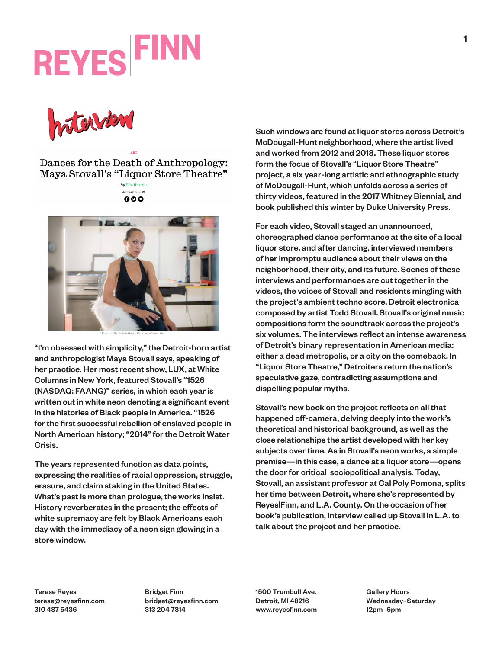# **REYES FIND**

Insterview

Dances for the Death of Anthropology: Maya Stovall's "Liquor Store Theatre"





"I'm obsessed with simplicity," the Detroit-born artist and anthropologist Maya Stovall says, speaking of her practice. Her most recent show, LUX, at White Columns in New York, featured Stovall's "1526 (NASDAQ: FAANG)" series, in which each year is written out in white neon denoting a significant event in the histories of Black people in America. "1526″ for the first successful rebellion of enslaved people in North American history; "2014" for the Detroit Water Crisis.

The years represented function as data points, expressing the realities of racial oppression, struggle, erasure, and claim staking in the United States. What's past is more than prologue, the works insist. History reverberates in the present; the effects of white supremacy are felt by Black Americans each day with the immediacy of a neon sign glowing in a store window.

Such windows are found at liquor stores across Detroit's McDougall-Hunt neighborhood, where the artist lived and worked from 2012 and 2018. These liquor stores form the focus of Stovall's "Liquor Store Theatre" project, a six year-long artistic and ethnographic study of McDougall-Hunt, which unfolds across a series of thirty videos, featured in the 2017 Whitney Biennial, and book published this winter by Duke University Press.

For each video, Stovall staged an unannounced, choreographed dance performance at the site of a local liquor store, and after dancing, interviewed members of her impromptu audience about their views on the neighborhood, their city, and its future. Scenes of these interviews and performances are cut together in the videos, the voices of Stovall and residents mingling with the project's ambient techno score, Detroit electronica composed by artist Todd Stovall. Stovall's original music compositions form the soundtrack across the project's six volumes. The interviews reflect an intense awareness of Detroit's binary representation in American media: either a dead metropolis, or a city on the comeback. In "Liquor Store Theatre," Detroiters return the nation's speculative gaze, contradicting assumptions and dispelling popular myths.

Stovall's new book on the project reflects on all that happened off-camera, delving deeply into the work's theoretical and historical background, as well as the close relationships the artist developed with her key subjects over time. As in Stovall's neon works, a simple premise—in this case, a dance at a liquor store—opens the door for critical sociopolitical analysis. Today, Stovall, an assistant professor at Cal Poly Pomona, splits her time between Detroit, where she's represented by Reyes|Finn, and L.A. County. On the occasion of her book's publication, Interview called up Stovall in L.A. to talk about the project and her practice.

Terese Reyes terese@reyesfinn.com 310 487 5436

Bridget Finn bridget@reyesfinn.com 313 204 7814

1500 Trumbull Ave. Detroit, MI 48216 www.reyesfinn.com Gallery Hours Wednesday–Saturday 12pm–6pm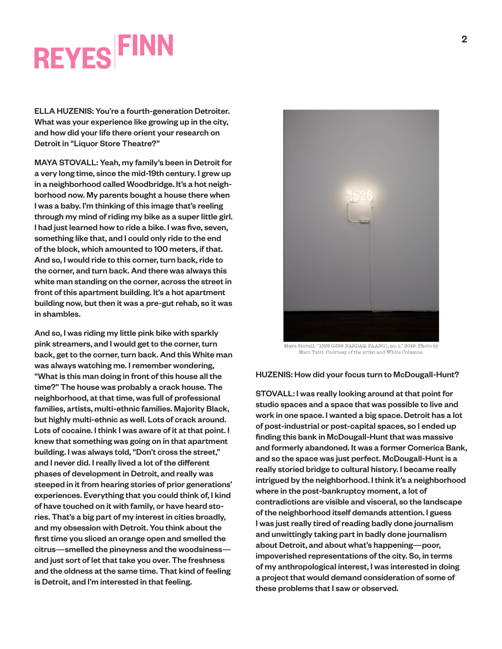## **REYES FINN**

ELLA HUZENIS: You're a fourth-generation Detroiter. What was your experience like growing up in the city, and how did your life there orient your research on Detroit in "Liquor Store Theatre?"

MAYA STOVALL: Yeah, my family's been in Detroit for a very long time, since the mid-19th century. I grew up in a neighborhood called Woodbridge. It's a hot neighborhood now. My parents bought a house there when I was a baby. I'm thinking of this image that's reeling through my mind of riding my bike as a super little girl. I had just learned how to ride a bike. I was five, seven, something like that, and I could only ride to the end of the block, which amounted to 100 meters, if that. And so, I would ride to this corner, turn back, ride to the corner, and turn back. And there was always this white man standing on the corner, across the street in front of this apartment building. It's a hot apartment building now, but then it was a pre-gut rehab, so it was in shambles.

And so, I was riding my little pink bike with sparkly pink streamers, and I would get to the corner, turn back, get to the corner, turn back. And this White man was always watching me. I remember wondering, "What is this man doing in front of this house all the time?" The house was probably a crack house. The neighborhood, at that time, was full of professional families, artists, multi-ethnic families. Majority Black, but highly multi-ethnic as well. Lots of crack around. Lots of cocaine. I think I was aware of it at that point. I knew that something was going on in that apartment building. I was always told, "Don't cross the street," and I never did. I really lived a lot of the different phases of development in Detroit, and really was steeped in it from hearing stories of prior generations' experiences. Everything that you could think of, I kind of have touched on it with family, or have heard stories. That's a big part of my interest in cities broadly, and my obsession with Detroit. You think about the first time you sliced an orange open and smelled the citrus—smelled the pineyness and the woodsiness and just sort of let that take you over. The freshness and the oldness at the same time. That kind of feeling is Detroit, and I'm interested in that feeling.



Maya Stovall, "1526 (1526 NASDAQ: FAANG), no. 1," 2019. Photo by Marc Tatti. Courtesy of the artist and White Columns.

### HUZENIS: How did your focus turn to McDougall-Hunt?

STOVALL: I was really looking around at that point for studio spaces and a space that was possible to live and work in one space. I wanted a big space. Detroit has a lot of post-industrial or post-capital spaces, so I ended up finding this bank in McDougall-Hunt that was massive and formerly abandoned. It was a former Comerica Bank, and so the space was just perfect. McDougall-Hunt is a really storied bridge to cultural history. I became really intrigued by the neighborhood. I think it's a neighborhood where in the post-bankruptcy moment, a lot of contradictions are visible and visceral, so the landscape of the neighborhood itself demands attention. I guess I was just really tired of reading badly done journalism and unwittingly taking part in badly done journalism about Detroit, and about what's happening—poor, impoverished representations of the city. So, in terms of my anthropological interest, I was interested in doing a project that would demand consideration of some of these problems that I saw or observed.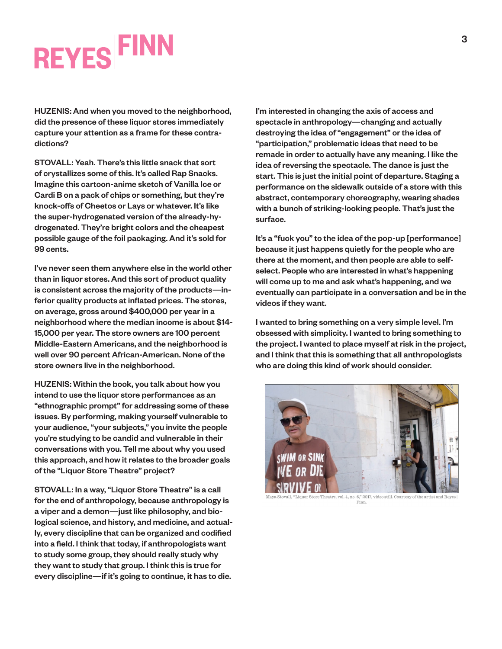# **REYES FINN**

HUZENIS: And when you moved to the neighborhood, did the presence of these liquor stores immediately capture your attention as a frame for these contradictions?

STOVALL: Yeah. There's this little snack that sort of crystallizes some of this. It's called Rap Snacks. Imagine this cartoon-anime sketch of Vanilla Ice or Cardi B on a pack of chips or something, but they're knock-offs of Cheetos or Lays or whatever. It's like the super-hydrogenated version of the already-hydrogenated. They're bright colors and the cheapest possible gauge of the foil packaging. And it's sold for 99 cents.

I've never seen them anywhere else in the world other than in liquor stores. And this sort of product quality is consistent across the majority of the products—inferior quality products at inflated prices. The stores, on average, gross around \$400,000 per year in a neighborhood where the median income is about \$14- 15,000 per year. The store owners are 100 percent Middle-Eastern Americans, and the neighborhood is well over 90 percent African-American. None of the store owners live in the neighborhood.

HUZENIS: Within the book, you talk about how you intend to use the liquor store performances as an "ethnographic prompt" for addressing some of these issues. By performing, making yourself vulnerable to your audience, "your subjects," you invite the people you're studying to be candid and vulnerable in their conversations with you. Tell me about why you used this approach, and how it relates to the broader goals of the "Liquor Store Theatre" project?

STOVALL: In a way, "Liquor Store Theatre" is a call for the end of anthropology, because anthropology is a viper and a demon—just like philosophy, and biological science, and history, and medicine, and actually, every discipline that can be organized and codified into a field. I think that today, if anthropologists want to study some group, they should really study why they want to study that group. I think this is true for every discipline—if it's going to continue, it has to die.

I'm interested in changing the axis of access and spectacle in anthropology—changing and actually destroying the idea of "engagement" or the idea of "participation," problematic ideas that need to be remade in order to actually have any meaning. I like the idea of reversing the spectacle. The dance is just the start. This is just the initial point of departure. Staging a performance on the sidewalk outside of a store with this abstract, contemporary choreography, wearing shades with a bunch of striking-looking people. That's just the surface.

It's a "fuck you" to the idea of the pop-up [performance] because it just happens quietly for the people who are there at the moment, and then people are able to selfselect. People who are interested in what's happening will come up to me and ask what's happening, and we eventually can participate in a conversation and be in the videos if they want.

I wanted to bring something on a very simple level. I'm obsessed with simplicity. I wanted to bring something to the project. I wanted to place myself at risk in the project, and I think that this is something that all anthropologists who are doing this kind of work should consider.